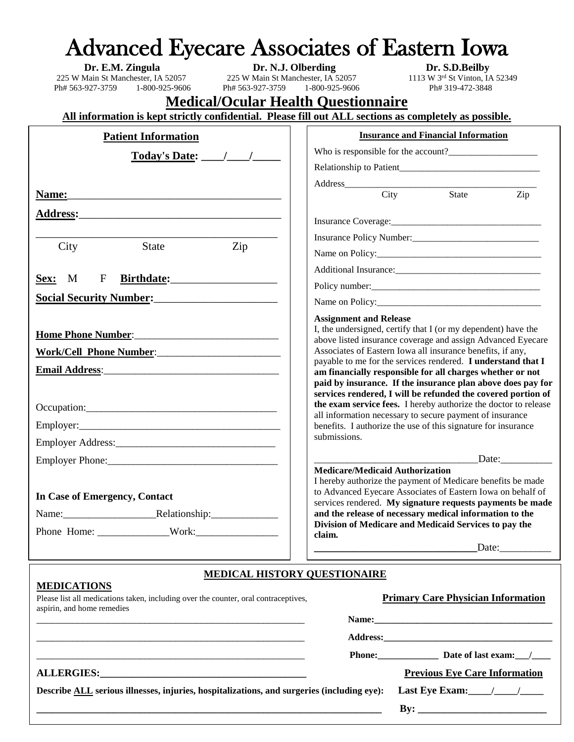|                                                                                                                                                                                                                                                           | <b>Advanced Eyecare Associates of Eastern Iowa</b>                                                                                                                                                                                                                                                                                                                                                                                                                                      |  |  |  |  |  |  |  |  |
|-----------------------------------------------------------------------------------------------------------------------------------------------------------------------------------------------------------------------------------------------------------|-----------------------------------------------------------------------------------------------------------------------------------------------------------------------------------------------------------------------------------------------------------------------------------------------------------------------------------------------------------------------------------------------------------------------------------------------------------------------------------------|--|--|--|--|--|--|--|--|
|                                                                                                                                                                                                                                                           | Dr. S.D.Beilby                                                                                                                                                                                                                                                                                                                                                                                                                                                                          |  |  |  |  |  |  |  |  |
| <b>Dr. E.M. Zingula</b><br>225 W Main St Manchester, IA 52057<br>225 W Main St Manchester, IA 52057<br>225 W Main St Manchester, IA 52057<br>225 W Main St Manchester, IA 52057<br>1-800-925-9606<br>Ph# 563-927-3759                                     | 1113 W 3rd St Vinton, IA 52349<br>Ph# 563-927-3759 1-800-925-9606<br>Ph# 319-472-3848                                                                                                                                                                                                                                                                                                                                                                                                   |  |  |  |  |  |  |  |  |
| <b>Medical/Ocular Health Questionnaire</b>                                                                                                                                                                                                                |                                                                                                                                                                                                                                                                                                                                                                                                                                                                                         |  |  |  |  |  |  |  |  |
| All information is kept strictly confidential. Please fill out ALL sections as completely as possible.                                                                                                                                                    |                                                                                                                                                                                                                                                                                                                                                                                                                                                                                         |  |  |  |  |  |  |  |  |
| <b>Patient Information</b>                                                                                                                                                                                                                                | <b>Insurance and Financial Information</b>                                                                                                                                                                                                                                                                                                                                                                                                                                              |  |  |  |  |  |  |  |  |
| Today's Date: \[\[\]                                                                                                                                                                                                                                      |                                                                                                                                                                                                                                                                                                                                                                                                                                                                                         |  |  |  |  |  |  |  |  |
|                                                                                                                                                                                                                                                           |                                                                                                                                                                                                                                                                                                                                                                                                                                                                                         |  |  |  |  |  |  |  |  |
|                                                                                                                                                                                                                                                           | Address<br>City State                                                                                                                                                                                                                                                                                                                                                                                                                                                                   |  |  |  |  |  |  |  |  |
|                                                                                                                                                                                                                                                           | Zip                                                                                                                                                                                                                                                                                                                                                                                                                                                                                     |  |  |  |  |  |  |  |  |
| Address: Andreas Address: Address: Address: Address: Address: Address: Address: Address: Address: Address: Address: Address: Address: Address: Address: Address: Address: Address: Address: Address: Address: Address: Address                            |                                                                                                                                                                                                                                                                                                                                                                                                                                                                                         |  |  |  |  |  |  |  |  |
|                                                                                                                                                                                                                                                           | Insurance Policy Number:                                                                                                                                                                                                                                                                                                                                                                                                                                                                |  |  |  |  |  |  |  |  |
| Zip<br>State<br>City                                                                                                                                                                                                                                      | Name on Policy:                                                                                                                                                                                                                                                                                                                                                                                                                                                                         |  |  |  |  |  |  |  |  |
|                                                                                                                                                                                                                                                           |                                                                                                                                                                                                                                                                                                                                                                                                                                                                                         |  |  |  |  |  |  |  |  |
| F<br>Sex: M                                                                                                                                                                                                                                               | Policy number:                                                                                                                                                                                                                                                                                                                                                                                                                                                                          |  |  |  |  |  |  |  |  |
| Social Security Number:<br><u>Social Security Number:</u>                                                                                                                                                                                                 |                                                                                                                                                                                                                                                                                                                                                                                                                                                                                         |  |  |  |  |  |  |  |  |
| Home Phone Number: Management of the Museum of the Museum of the Museum of the Museum of the Museum of the Museum of the Museum of the Museum of the Museum of the Museum of the Museum of the Museum of the Museum of the Mus<br>Work/Cell Phone Number: | <b>Assignment and Release</b><br>I, the undersigned, certify that I (or my dependent) have the<br>above listed insurance coverage and assign Advanced Eyecare<br>Associates of Eastern Iowa all insurance benefits, if any,<br>payable to me for the services rendered. I understand that I<br>am financially responsible for all charges whether or not<br>paid by insurance. If the insurance plan above does pay for<br>services rendered, I will be refunded the covered portion of |  |  |  |  |  |  |  |  |
|                                                                                                                                                                                                                                                           | the exam service fees. I hereby authorize the doctor to release<br>all information necessary to secure payment of insurance                                                                                                                                                                                                                                                                                                                                                             |  |  |  |  |  |  |  |  |
|                                                                                                                                                                                                                                                           | benefits. I authorize the use of this signature for insurance                                                                                                                                                                                                                                                                                                                                                                                                                           |  |  |  |  |  |  |  |  |
|                                                                                                                                                                                                                                                           | submissions.                                                                                                                                                                                                                                                                                                                                                                                                                                                                            |  |  |  |  |  |  |  |  |
|                                                                                                                                                                                                                                                           | Date: $\qquad \qquad$                                                                                                                                                                                                                                                                                                                                                                                                                                                                   |  |  |  |  |  |  |  |  |
| In Case of Emergency, Contact                                                                                                                                                                                                                             | <b>Medicare/Medicaid Authorization</b><br>I hereby authorize the payment of Medicare benefits be made<br>to Advanced Eyecare Associates of Eastern Iowa on behalf of<br>services rendered. My signature requests payments be made<br>and the release of necessary medical information to the<br>Division of Medicare and Medicaid Services to pay the<br>claim.                                                                                                                         |  |  |  |  |  |  |  |  |
|                                                                                                                                                                                                                                                           | Date:                                                                                                                                                                                                                                                                                                                                                                                                                                                                                   |  |  |  |  |  |  |  |  |
|                                                                                                                                                                                                                                                           |                                                                                                                                                                                                                                                                                                                                                                                                                                                                                         |  |  |  |  |  |  |  |  |
| <b>MEDICAL HISTORY QUESTIONAIRE</b><br><b>MEDICATIONS</b>                                                                                                                                                                                                 |                                                                                                                                                                                                                                                                                                                                                                                                                                                                                         |  |  |  |  |  |  |  |  |
| Please list all medications taken, including over the counter, oral contraceptives,<br>aspirin, and home remedies                                                                                                                                         | <b>Primary Care Physician Information</b>                                                                                                                                                                                                                                                                                                                                                                                                                                               |  |  |  |  |  |  |  |  |

| <u> 1999 - Andrea Branden, amerikan basar personal dan berasal dan berasal dalam pengaran basar personal dan bera</u> |                                     |                                      |  |  |
|-----------------------------------------------------------------------------------------------------------------------|-------------------------------------|--------------------------------------|--|--|
|                                                                                                                       |                                     |                                      |  |  |
|                                                                                                                       | Phone: 2000                         | Date of last exam: /                 |  |  |
|                                                                                                                       |                                     | <b>Previous Eye Care Information</b> |  |  |
| Describe ALL serious illnesses, injuries, hospitalizations, and surgeries (including eye):                            | Last Eye Exam: $\frac{1}{\sqrt{2}}$ |                                      |  |  |
|                                                                                                                       |                                     |                                      |  |  |